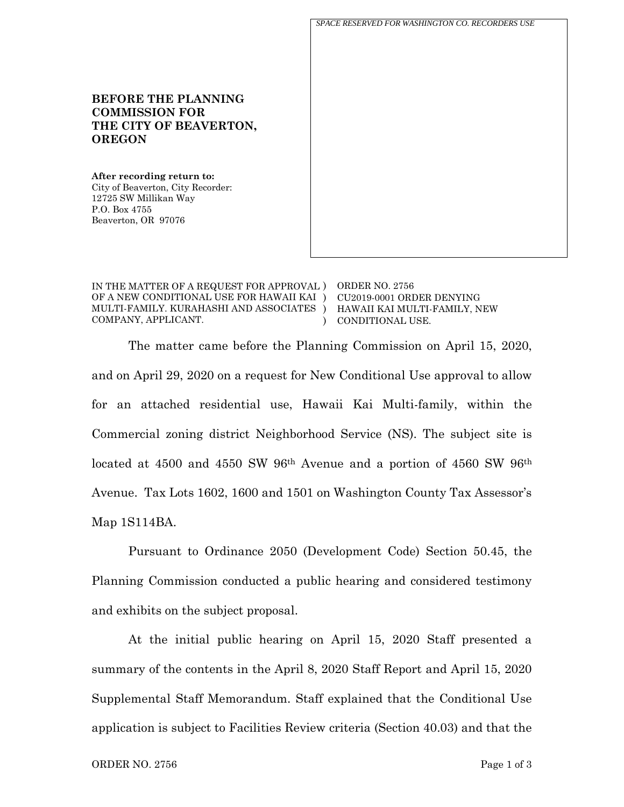**BEFORE THE PLANNING COMMISSION FOR THE CITY OF BEAVERTON, OREGON After recording return to:** City of Beaverton, City Recorder: 12725 SW Millikan Way P.O. Box 4755 Beaverton, OR 97076 *SPACE RESERVED FOR WASHINGTON CO. RECORDERS USE*

IN THE MATTER OF A REQUEST FOR APPROVAL ) ORDER NO. 2756 OF A NEW CONDITIONAL USE FOR HAWAII KAI ) MULTI-FAMILY. KURAHASHI AND ASSOCIATES ) COMPANY, APPLICANT. )

CU2019-0001 ORDER DENYING HAWAII KAI MULTI-FAMILY, NEW CONDITIONAL USE.

The matter came before the Planning Commission on April 15, 2020, and on April 29, 2020 on a request for New Conditional Use approval to allow for an attached residential use, Hawaii Kai Multi-family, within the Commercial zoning district Neighborhood Service (NS). The subject site is located at 4500 and 4550 SW 96th Avenue and a portion of 4560 SW 96th Avenue. Tax Lots 1602, 1600 and 1501 on Washington County Tax Assessor's Map 1S114BA.

Pursuant to Ordinance 2050 (Development Code) Section 50.45, the Planning Commission conducted a public hearing and considered testimony and exhibits on the subject proposal.

At the initial public hearing on April 15, 2020 Staff presented a summary of the contents in the April 8, 2020 Staff Report and April 15, 2020 Supplemental Staff Memorandum. Staff explained that the Conditional Use application is subject to Facilities Review criteria (Section 40.03) and that the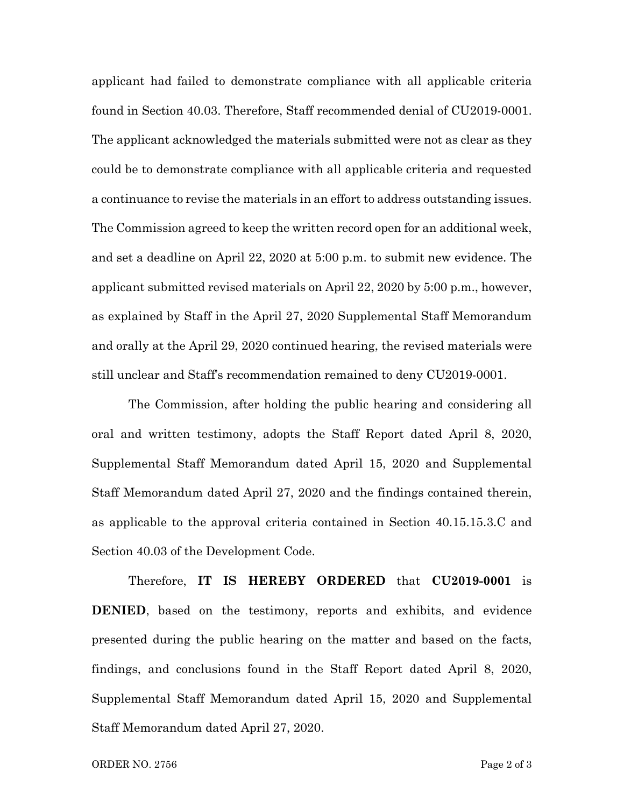applicant had failed to demonstrate compliance with all applicable criteria found in Section 40.03. Therefore, Staff recommended denial of CU2019-0001. The applicant acknowledged the materials submitted were not as clear as they could be to demonstrate compliance with all applicable criteria and requested a continuance to revise the materials in an effort to address outstanding issues. The Commission agreed to keep the written record open for an additional week, and set a deadline on April 22, 2020 at 5:00 p.m. to submit new evidence. The applicant submitted revised materials on April 22, 2020 by 5:00 p.m., however, as explained by Staff in the April 27, 2020 Supplemental Staff Memorandum and orally at the April 29, 2020 continued hearing, the revised materials were still unclear and Staff's recommendation remained to deny CU2019-0001.

The Commission, after holding the public hearing and considering all oral and written testimony, adopts the Staff Report dated April 8, 2020, Supplemental Staff Memorandum dated April 15, 2020 and Supplemental Staff Memorandum dated April 27, 2020 and the findings contained therein, as applicable to the approval criteria contained in Section 40.15.15.3.C and Section 40.03 of the Development Code.

Therefore, **IT IS HEREBY ORDERED** that **CU2019-0001** is **DENIED**, based on the testimony, reports and exhibits, and evidence presented during the public hearing on the matter and based on the facts, findings, and conclusions found in the Staff Report dated April 8, 2020, Supplemental Staff Memorandum dated April 15, 2020 and Supplemental Staff Memorandum dated April 27, 2020.